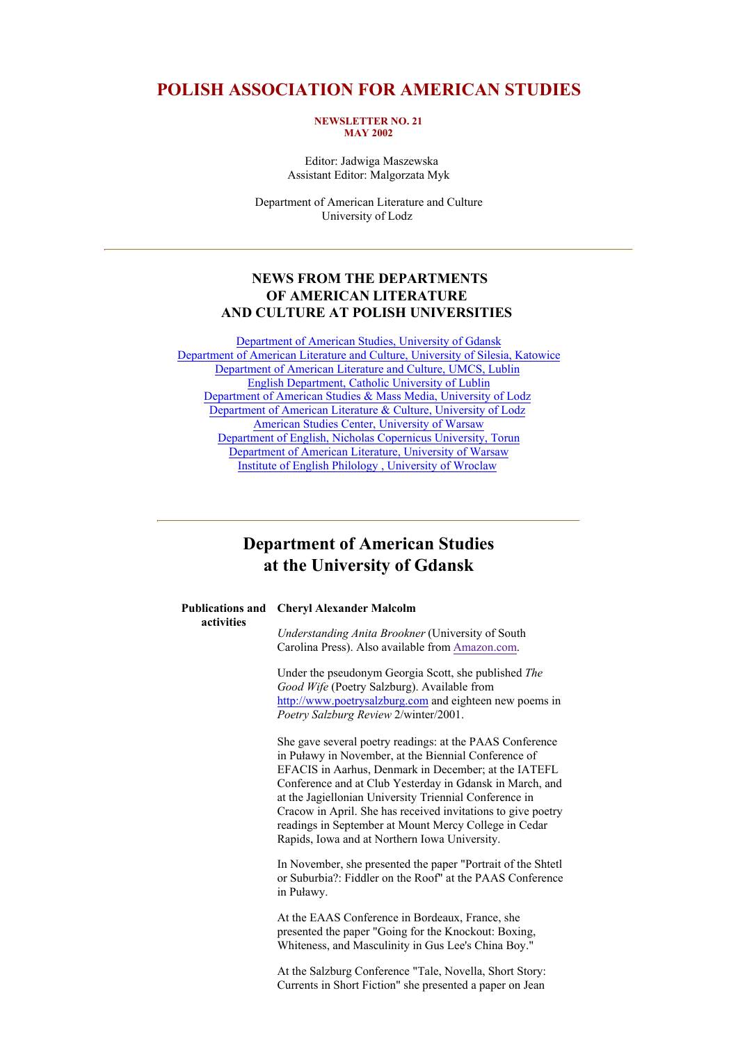## **POLISH ASSOCIATION FOR AMERICAN STUDIES**

#### **NEWSLETTER NO. 21 MAY 2002**

 Editor: Jadwiga Maszewska Assistant Editor: Malgorzata Myk

Department of American Literature and Culture University of Lodz

### **NEWS FROM THE DEPARTMENTS OF AMERICAN LITERATURE AND CULTURE AT POLISH UNIVERSITIES**

Department of American Studies, University of Gdansk Department of American Literature and Culture, University of Silesia, Katowice Department of American Literature and Culture, UMCS, Lublin English Department, Catholic University of Lublin Department of American Studies & Mass Media, University of Lodz Department of American Literature & Culture, University of Lodz American Studies Center, University of Warsaw Department of English, Nicholas Copernicus University, Torun Department of American Literature, University of Warsaw Institute of English Philology , University of Wroclaw

## **Department of American Studies at the University of Gdansk**

**activities**

#### **Publications and Cheryl Alexander Malcolm**

*Understanding Anita Brookner* (University of South Carolina Press). Also available from Amazon.com.

Under the pseudonym Georgia Scott, she published *The Good Wife* (Poetry Salzburg). Available from http://www.poetrysalzburg.com and eighteen new poems in *Poetry Salzburg Review* 2/winter/2001.

She gave several poetry readings: at the PAAS Conference in Puławy in November, at the Biennial Conference of EFACIS in Aarhus, Denmark in December; at the IATEFL Conference and at Club Yesterday in Gdansk in March, and at the Jagiellonian University Triennial Conference in Cracow in April. She has received invitations to give poetry readings in September at Mount Mercy College in Cedar Rapids, Iowa and at Northern Iowa University.

In November, she presented the paper "Portrait of the Shtetl or Suburbia?: Fiddler on the Roof" at the PAAS Conference in Puławy.

At the EAAS Conference in Bordeaux, France, she presented the paper "Going for the Knockout: Boxing, Whiteness, and Masculinity in Gus Lee's China Boy."

At the Salzburg Conference "Tale, Novella, Short Story: Currents in Short Fiction" she presented a paper on Jean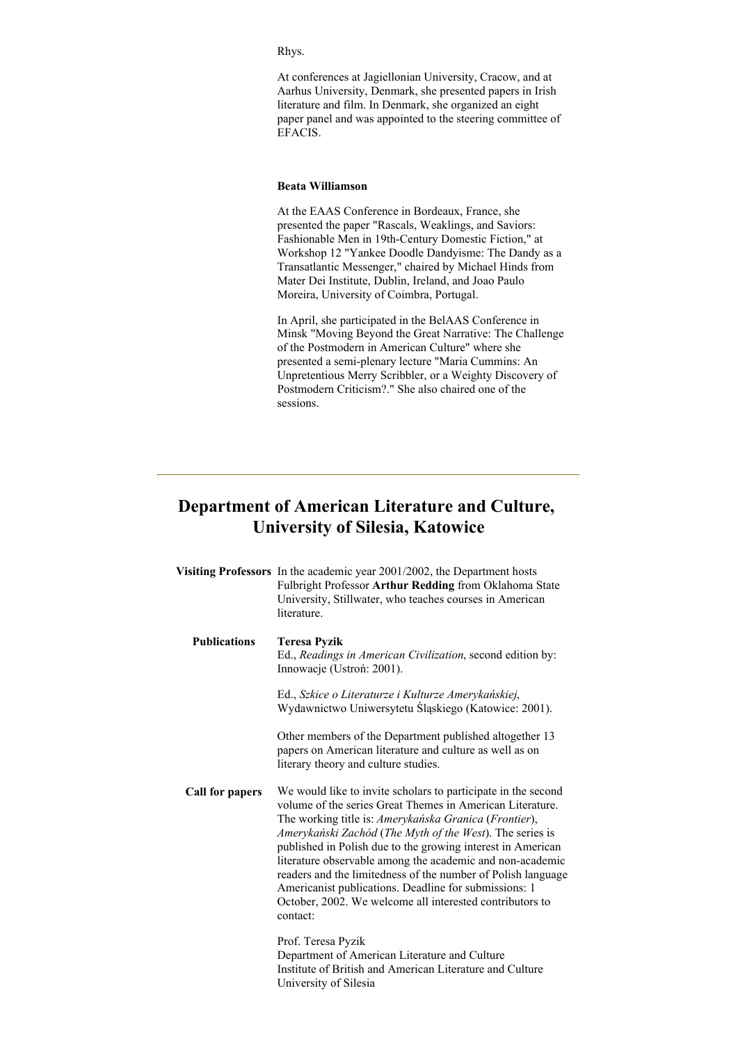#### Rhys.

At conferences at Jagiellonian University, Cracow, and at Aarhus University, Denmark, she presented papers in Irish literature and film. In Denmark, she organized an eight paper panel and was appointed to the steering committee of EFACIS.

### **Beata Williamson**

At the EAAS Conference in Bordeaux, France, she presented the paper "Rascals, Weaklings, and Saviors: Fashionable Men in 19th-Century Domestic Fiction," at Workshop 12 "Yankee Doodle Dandyisme: The Dandy as a Transatlantic Messenger," chaired by Michael Hinds from Mater Dei Institute, Dublin, Ireland, and Joao Paulo Moreira, University of Coimbra, Portugal.

In April, she participated in the BelAAS Conference in Minsk "Moving Beyond the Great Narrative: The Challenge of the Postmodern in American Culture" where she presented a semi-plenary lecture "Maria Cummins: An Unpretentious Merry Scribbler, or a Weighty Discovery of Postmodern Criticism?." She also chaired one of the sessions.

# **Department of American Literature and Culture, University of Silesia, Katowice**

|                     | Visiting Professors In the academic year 2001/2002, the Department hosts<br>Fulbright Professor Arthur Redding from Oklahoma State<br>University, Stillwater, who teaches courses in American<br>literature.                                                                                                                                                                                                                                                                                                                                                                 |
|---------------------|------------------------------------------------------------------------------------------------------------------------------------------------------------------------------------------------------------------------------------------------------------------------------------------------------------------------------------------------------------------------------------------------------------------------------------------------------------------------------------------------------------------------------------------------------------------------------|
| <b>Publications</b> | <b>Teresa Pyzik</b><br>Ed., Readings in American Civilization, second edition by:<br>Innowacje (Ustroń: 2001).                                                                                                                                                                                                                                                                                                                                                                                                                                                               |
|                     | Ed., Szkice o Literaturze i Kulturze Amerykańskiej,<br>Wydawnictwo Uniwersytetu Śląskiego (Katowice: 2001).                                                                                                                                                                                                                                                                                                                                                                                                                                                                  |
|                     | Other members of the Department published altogether 13<br>papers on American literature and culture as well as on<br>literary theory and culture studies.                                                                                                                                                                                                                                                                                                                                                                                                                   |
| Call for papers     | We would like to invite scholars to participate in the second<br>volume of the series Great Themes in American Literature.<br>The working title is: Amerykańska Granica (Frontier),<br>Amerykański Zachód (The Myth of the West). The series is<br>published in Polish due to the growing interest in American<br>literature observable among the academic and non-academic<br>readers and the limitedness of the number of Polish language<br>Americanist publications. Deadline for submissions: 1<br>October, 2002. We welcome all interested contributors to<br>contact: |
|                     | Prof. Teresa Pyzik<br>Department of American Literature and Culture<br>Institute of British and American Literature and Culture<br>University of Silesia                                                                                                                                                                                                                                                                                                                                                                                                                     |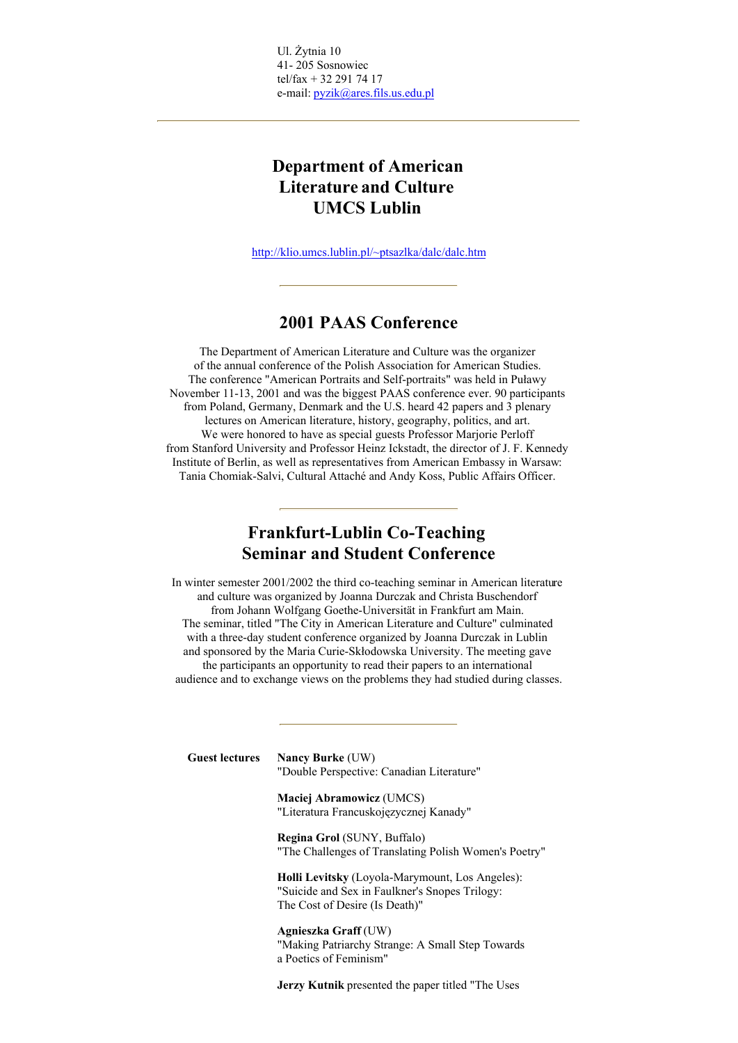Ul. Żytnia 10 41- 205 Sosnowiec tel/fax + 32 291 74 17 e-mail: pyzik@ares.fils.us.edu.pl

# **Department of American Literature and Culture UMCS Lublin**

http://klio.umcs.lublin.pl/~ptsazlka/dalc/dalc.htm

## **2001 PAAS Conference**

The Department of American Literature and Culture was the organizer of the annual conference of the Polish Association for American Studies. The conference "American Portraits and Self-portraits" was held in Puławy November 11-13, 2001 and was the biggest PAAS conference ever. 90 participants from Poland, Germany, Denmark and the U.S. heard 42 papers and 3 plenary lectures on American literature, history, geography, politics, and art. We were honored to have as special guests Professor Marjorie Perloff from Stanford University and Professor Heinz Ickstadt, the director of J. F. Kennedy Institute of Berlin, as well as representatives from American Embassy in Warsaw: Tania Chomiak-Salvi, Cultural Attaché and Andy Koss, Public Affairs Officer.

## **Frankfurt-Lublin Co-Teaching Seminar and Student Conference**

In winter semester 2001/2002 the third co-teaching seminar in American literature and culture was organized by Joanna Durczak and Christa Buschendorf from Johann Wolfgang Goethe-Universität in Frankfurt am Main. The seminar, titled "The City in American Literature and Culture" culminated with a three-day student conference organized by Joanna Durczak in Lublin and sponsored by the Maria Curie-Skłodowska University. The meeting gave the participants an opportunity to read their papers to an international audience and to exchange views on the problems they had studied during classes.

**Guest lectures Nancy Burke** (UW) "Double Perspective: Canadian Literature"

> **Maciej Abramowicz** (UMCS) "Literatura Francuskojęzycznej Kanady"

**Regina Grol** (SUNY, Buffalo) "The Challenges of Translating Polish Women's Poetry"

**Holli Levitsky** (Loyola-Marymount, Los Angeles): "Suicide and Sex in Faulkner's Snopes Trilogy: The Cost of Desire (Is Death)"

**Agnieszka Graff** (UW) "Making Patriarchy Strange: A Small Step Towards a Poetics of Feminism"

**Jerzy Kutnik** presented the paper titled "The Uses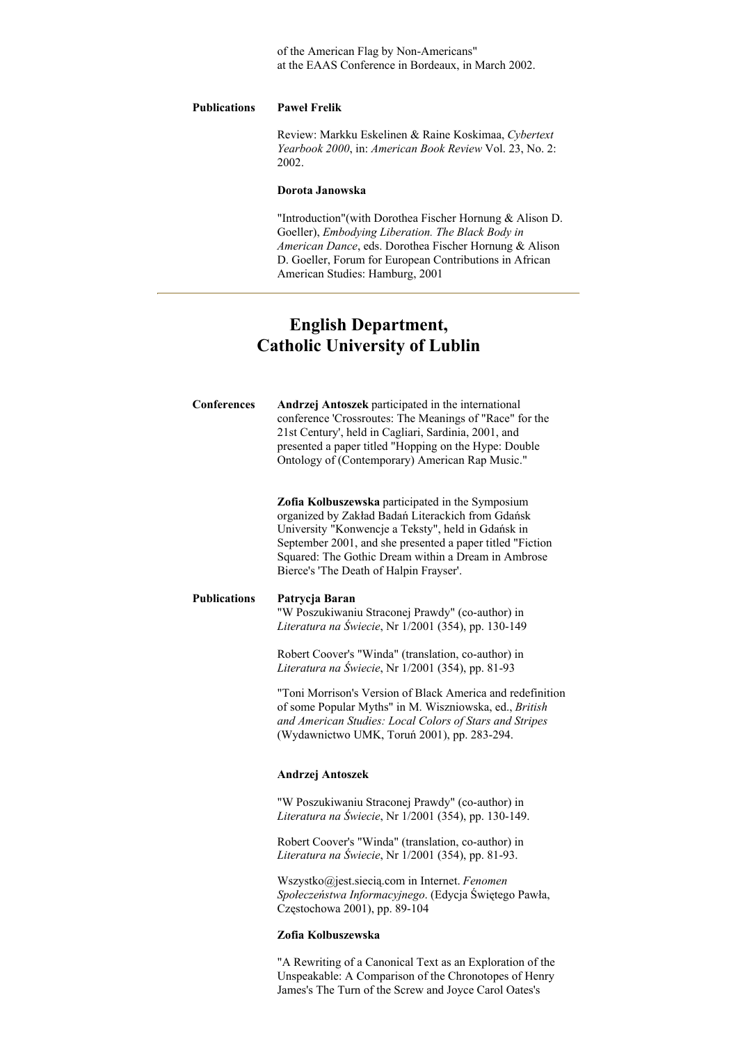of the American Flag by Non-Americans" at the EAAS Conference in Bordeaux, in March 2002.

#### **Publications Paweł Frelik**

Review: Markku Eskelinen & Raine Koskimaa, *Cybertext Yearbook 2000*, in: *American Book Review* Vol. 23, No. 2: 2002.

#### **Dorota Janowska**

"Introduction"(with Dorothea Fischer Hornung & Alison D. Goeller), *Embodying Liberation. The Black Body in American Dance*, eds. Dorothea Fischer Hornung & Alison D. Goeller, Forum for European Contributions in African American Studies: Hamburg, 2001

# **English Department, Catholic University of Lublin**

| <b>Conferences</b>  | Andrzej Antoszek participated in the international<br>conference 'Crossroutes: The Meanings of "Race" for the<br>21st Century', held in Cagliari, Sardinia, 2001, and<br>presented a paper titled "Hopping on the Hype: Double<br>Ontology of (Contemporary) American Rap Music."                                          |
|---------------------|----------------------------------------------------------------------------------------------------------------------------------------------------------------------------------------------------------------------------------------------------------------------------------------------------------------------------|
|                     | Zofia Kolbuszewska participated in the Symposium<br>organized by Zakład Badań Literackich from Gdańsk<br>University "Konwencje a Teksty", held in Gdańsk in<br>September 2001, and she presented a paper titled "Fiction<br>Squared: The Gothic Dream within a Dream in Ambrose<br>Bierce's 'The Death of Halpin Frayser'. |
| <b>Publications</b> | Patrycja Baran<br>"W Poszukiwaniu Straconej Prawdy" (co-author) in<br>Literatura na Świecie, Nr 1/2001 (354), pp. 130-149                                                                                                                                                                                                  |
|                     | Robert Coover's "Winda" (translation, co-author) in<br>Literatura na Świecie, Nr 1/2001 (354), pp. 81-93                                                                                                                                                                                                                   |
|                     | "Toni Morrison's Version of Black America and redefinition<br>of some Popular Myths" in M. Wiszniowska, ed., British<br>and American Studies: Local Colors of Stars and Stripes<br>(Wydawnictwo UMK, Toruń 2001), pp. 283-294.                                                                                             |
|                     | Andrzej Antoszek                                                                                                                                                                                                                                                                                                           |
|                     | "W Poszukiwaniu Straconej Prawdy" (co-author) in<br>Literatura na Świecie, Nr 1/2001 (354), pp. 130-149.                                                                                                                                                                                                                   |
|                     | Robert Coover's "Winda" (translation, co-author) in<br>Literatura na Świecie, Nr 1/2001 (354), pp. 81-93.                                                                                                                                                                                                                  |
|                     |                                                                                                                                                                                                                                                                                                                            |

Wszystko@jest.siecią.com in Internet. *Fenomen Społeczeństwa Informacyjnego*. (Edycja Świętego Pawła, Częstochowa 2001), pp. 89-104

#### **Zofia Kolbuszewska**

"A Rewriting of a Canonical Text as an Exploration of the Unspeakable: A Comparison of the Chronotopes of Henry James's The Turn of the Screw and Joyce Carol Oates's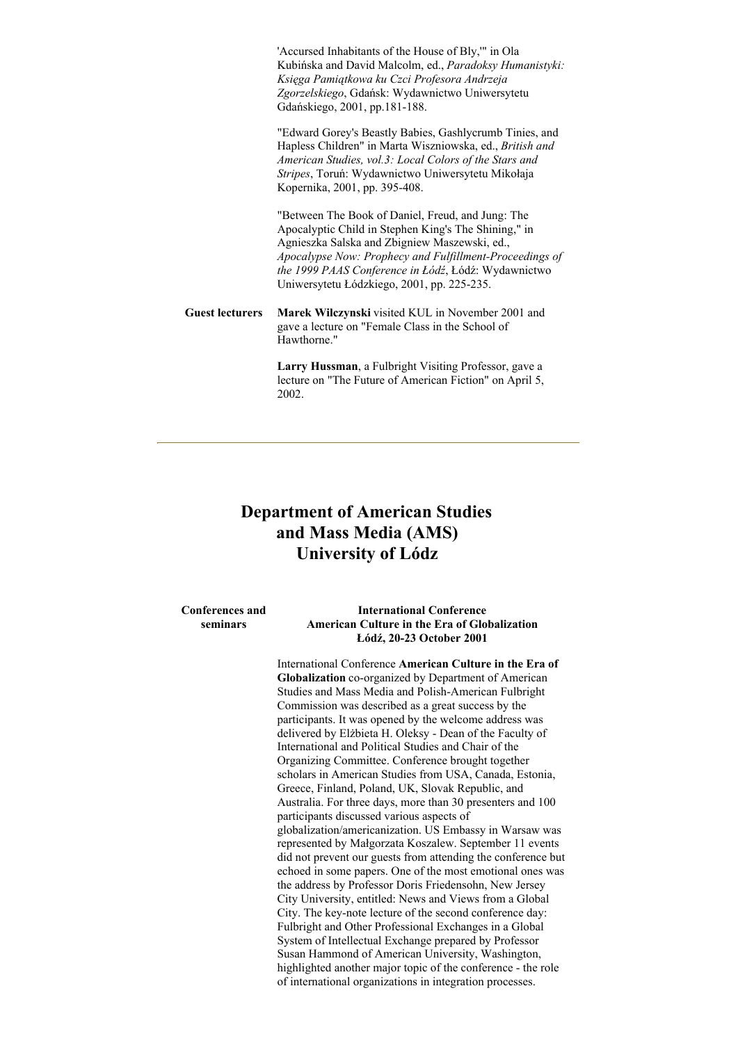'Accursed Inhabitants of the House of Bly,'" in Ola Kubińska and David Malcolm, ed., *Paradoksy Humanistyki: Księga Pamiątkowa ku Czci Profesora Andrzeja Zgorzelskiego*, Gdańsk: Wydawnictwo Uniwersytetu Gdańskiego, 2001, pp.181-188.

"Edward Gorey's Beastly Babies, Gashlycrumb Tinies, and Hapless Children" in Marta Wiszniowska, ed., *British and American Studies, vol.3: Local Colors of the Stars and Stripes*, Toruń: Wydawnictwo Uniwersytetu Mikołaja Kopernika, 2001, pp. 395-408.

"Between The Book of Daniel, Freud, and Jung: The Apocalyptic Child in Stephen King's The Shining," in Agnieszka Salska and Zbigniew Maszewski, ed., *Apocalypse Now: Prophecy and Fulfillment-Proceedings of the 1999 PAAS Conference in Łódź*, Łódź: Wydawnictwo Uniwersytetu Łódzkiego, 2001, pp. 225-235.

**Guest lecturers Marek Wilczynski** visited KUL in November 2001 and gave a lecture on "Female Class in the School of Hawthorne."

> **Larry Hussman**, a Fulbright Visiting Professor, gave a lecture on "The Future of American Fiction" on April 5, 2002.

# **Department of American Studies and Mass Media (AMS) University of Lódz**

**Conferences and seminars**

#### **International Conference American Culture in the Era of Globalization Łódź, 20-23 October 2001**

International Conference **American Culture in the Era of Globalization** co-organized by Department of American Studies and Mass Media and Polish-American Fulbright Commission was described as a great success by the participants. It was opened by the welcome address was delivered by Elżbieta H. Oleksy - Dean of the Faculty of International and Political Studies and Chair of the Organizing Committee. Conference brought together scholars in American Studies from USA, Canada, Estonia, Greece, Finland, Poland, UK, Slovak Republic, and Australia. For three days, more than 30 presenters and 100 participants discussed various aspects of globalization/americanization. US Embassy in Warsaw was represented by Małgorzata Koszalew. September 11 events did not prevent our guests from attending the conference but echoed in some papers. One of the most emotional ones was the address by Professor Doris Friedensohn, New Jersey City University, entitled: News and Views from a Global City. The key-note lecture of the second conference day: Fulbright and Other Professional Exchanges in a Global System of Intellectual Exchange prepared by Professor Susan Hammond of American University, Washington, highlighted another major topic of the conference - the role of international organizations in integration processes.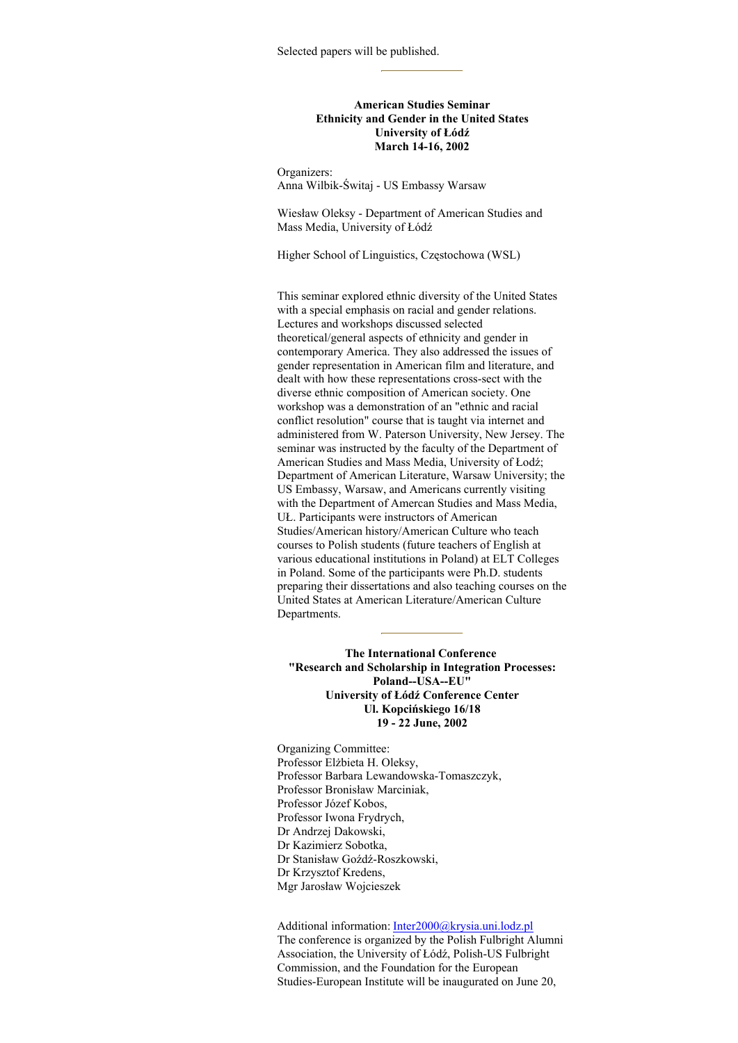#### **American Studies Seminar Ethnicity and Gender in the United States University of Łódź March 14-16, 2002**

Organizers: Anna Wilbik-Świtaj - US Embassy Warsaw

Wiesław Oleksy - Department of American Studies and Mass Media, University of Łódź

Higher School of Linguistics, Częstochowa (WSL)

This seminar explored ethnic diversity of the United States with a special emphasis on racial and gender relations. Lectures and workshops discussed selected theoretical/general aspects of ethnicity and gender in contemporary America. They also addressed the issues of gender representation in American film and literature, and dealt with how these representations cross-sect with the diverse ethnic composition of American society. One workshop was a demonstration of an "ethnic and racial conflict resolution" course that is taught via internet and administered from W. Paterson University, New Jersey. The seminar was instructed by the faculty of the Department of American Studies and Mass Media, University of Łodź; Department of American Literature, Warsaw University; the US Embassy, Warsaw, and Americans currently visiting with the Department of Amercan Studies and Mass Media, UŁ. Participants were instructors of American Studies/American history/American Culture who teach courses to Polish students (future teachers of English at various educational institutions in Poland) at ELT Colleges in Poland. Some of the participants were Ph.D. students preparing their dissertations and also teaching courses on the United States at American Literature/American Culture Departments.

**The International Conference "Research and Scholarship in Integration Processes: Poland--USA--EU" University of Łódź Conference Center Ul. Kopcińskiego 16/18 19 - 22 June, 2002**

Organizing Committee: Professor Elżbieta H. Oleksy, Professor Barbara Lewandowska-Tomaszczyk, Professor Bronisław Marciniak, Professor Józef Kobos, Professor Iwona Frydrych, Dr Andrzej Dakowski, Dr Kazimierz Sobotka, Dr Stanisław Goźdź-Roszkowski, Dr Krzysztof Kredens, Mgr Jarosław Wojcieszek

Additional information: Inter2000@krysia.uni.lodz.pl The conference is organized by the Polish Fulbright Alumni Association, the University of Łódź, Polish-US Fulbright Commission, and the Foundation for the European Studies-European Institute will be inaugurated on June 20,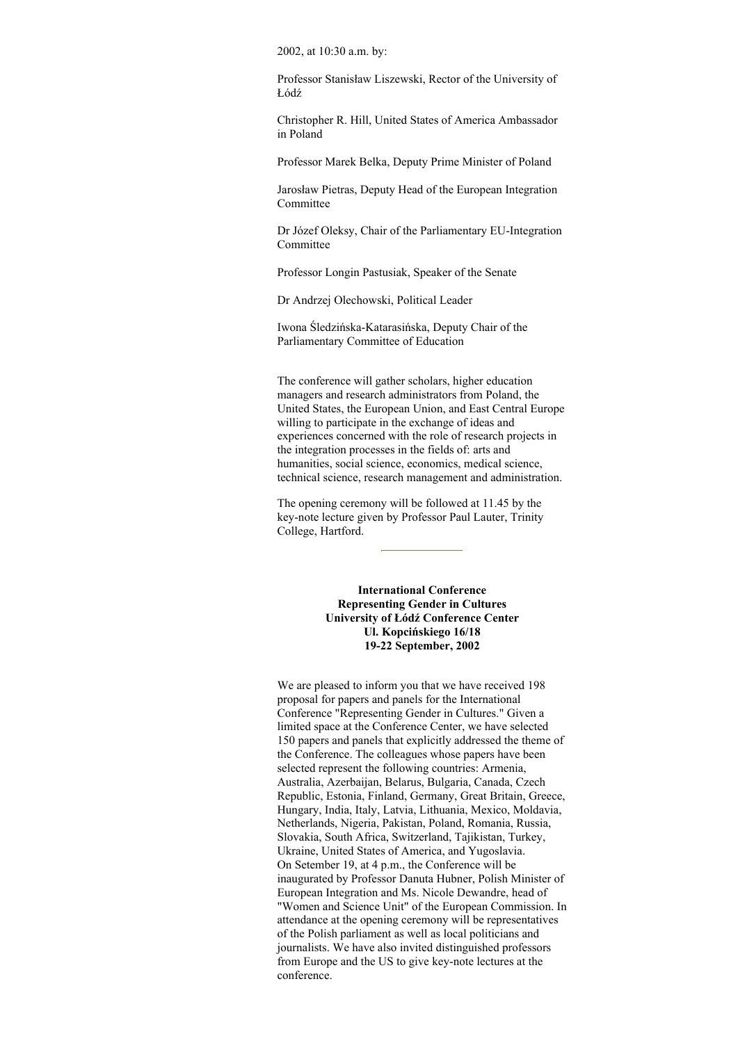2002, at 10:30 a.m. by:

Professor Stanisław Liszewski, Rector of the University of Łódź

Christopher R. Hill, United States of America Ambassador in Poland

Professor Marek Belka, Deputy Prime Minister of Poland

Jarosław Pietras, Deputy Head of the European Integration Committee

Dr Józef Oleksy, Chair of the Parliamentary EU-Integration Committee

Professor Longin Pastusiak, Speaker of the Senate

Dr Andrzej Olechowski, Political Leader

Iwona Śledzińska-Katarasińska, Deputy Chair of the Parliamentary Committee of Education

The conference will gather scholars, higher education managers and research administrators from Poland, the United States, the European Union, and East Central Europe willing to participate in the exchange of ideas and experiences concerned with the role of research projects in the integration processes in the fields of: arts and humanities, social science, economics, medical science, technical science, research management and administration.

The opening ceremony will be followed at 11.45 by the key-note lecture given by Professor Paul Lauter, Trinity College, Hartford.

> **International Conference Representing Gender in Cultures University of Łódź Conference Center Ul. Kopcińskiego 16/18 19-22 September, 2002**

We are pleased to inform you that we have received 198 proposal for papers and panels for the International Conference "Representing Gender in Cultures." Given a limited space at the Conference Center, we have selected 150 papers and panels that explicitly addressed the theme of the Conference. The colleagues whose papers have been selected represent the following countries: Armenia, Australia, Azerbaijan, Belarus, Bulgaria, Canada, Czech Republic, Estonia, Finland, Germany, Great Britain, Greece, Hungary, India, Italy, Latvia, Lithuania, Mexico, Moldavia, Netherlands, Nigeria, Pakistan, Poland, Romania, Russia, Slovakia, South Africa, Switzerland, Tajikistan, Turkey, Ukraine, United States of America, and Yugoslavia. On Setember 19, at 4 p.m., the Conference will be inaugurated by Professor Danuta Hubner, Polish Minister of European Integration and Ms. Nicole Dewandre, head of "Women and Science Unit" of the European Commission. In attendance at the opening ceremony will be representatives of the Polish parliament as well as local politicians and journalists. We have also invited distinguished professors from Europe and the US to give key-note lectures at the conference.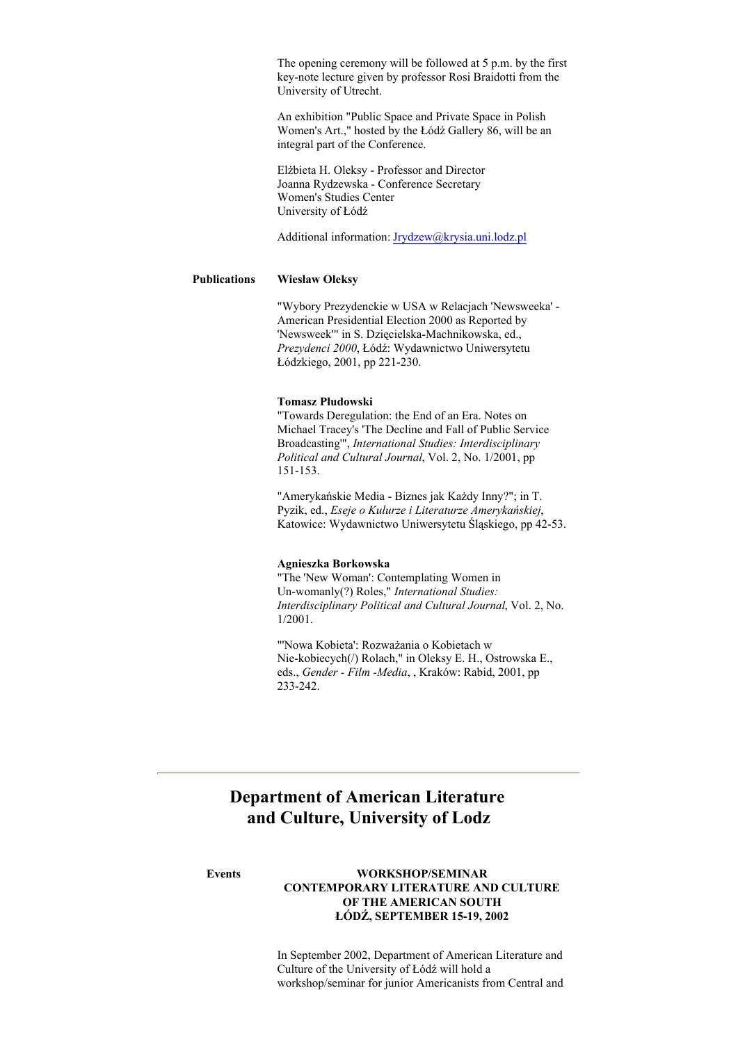The opening ceremony will be followed at 5 p.m. by the first key-note lecture given by professor Rosi Braidotti from the University of Utrecht.

An exhibition "Public Space and Private Space in Polish Women's Art.," hosted by the Łódź Gallery 86, will be an integral part of the Conference.

Elżbieta H. Oleksy - Professor and Director Joanna Rydzewska - Conference Secretary Women's Studies Center University of Łódź

Additional information: Jrydzew@krysia.uni.lodz.pl

#### **Publications Wiesław Oleksy**

"Wybory Prezydenckie w USA w Relacjach 'Newsweeka' - American Presidential Election 2000 as Reported by 'Newsweek'" in S. Dzięcielska-Machnikowska, ed., *Prezydenci 2000*, Łódź: Wydawnictwo Uniwersytetu Łódzkiego, 2001, pp 221-230.

#### **Tomasz Płudowski**

"Towards Deregulation: the End of an Era. Notes on Michael Tracey's 'The Decline and Fall of Public Service Broadcasting'", *International Studies: Interdisciplinary Political and Cultural Journal*, Vol. 2, No. 1/2001, pp 151-153.

"Amerykańskie Media - Biznes jak Każdy Inny?"; in T. Pyzik, ed., *Eseje o Kulurze i Literaturze Amerykańskiej*, Katowice: Wydawnictwo Uniwersytetu Śląskiego, pp 42-53.

### **Agnieszka Borkowska**

"The 'New Woman': Contemplating Women in Un-womanly(?) Roles," *International Studies: Interdisciplinary Political and Cultural Journal*, Vol. 2, No. 1/2001.

"'Nowa Kobieta': Rozważania o Kobietach w Nie-kobiecych(/) Rolach," in Oleksy E. H., Ostrowska E., eds., *Gender - Film -Media*, , Kraków: Rabid, 2001, pp 233-242.

# **Department of American Literature and Culture, University of Lodz**

#### **Events WORKSHOP/SEMINAR CONTEMPORARY LITERATURE AND CULTURE OF THE AMERICAN SOUTH ŁÓDŹ, SEPTEMBER 15-19, 2002**

In September 2002, Department of American Literature and Culture of the University of Łódź will hold a workshop/seminar for junior Americanists from Central and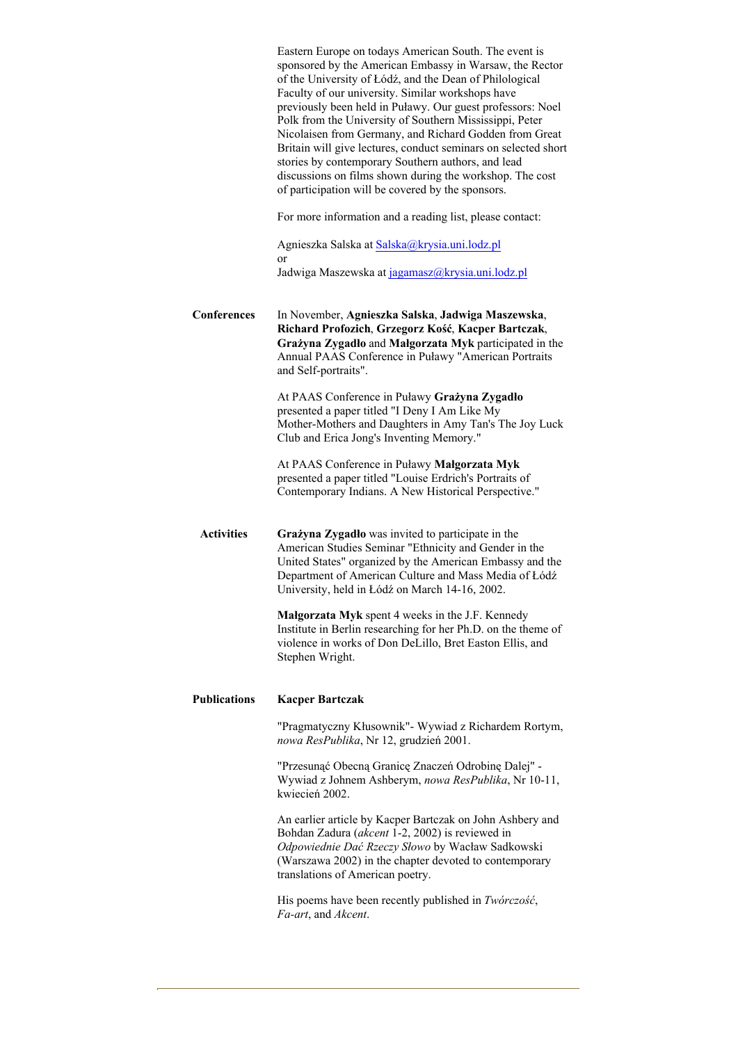| Eastern Europe on todays American South. The event is<br>sponsored by the American Embassy in Warsaw, the Rector<br>of the University of Łódź, and the Dean of Philological<br>Faculty of our university. Similar workshops have<br>previously been held in Puławy. Our guest professors: Noel<br>Polk from the University of Southern Mississippi, Peter<br>Nicolaisen from Germany, and Richard Godden from Great<br>Britain will give lectures, conduct seminars on selected short<br>stories by contemporary Southern authors, and lead<br>discussions on films shown during the workshop. The cost<br>of participation will be covered by the sponsors. |
|--------------------------------------------------------------------------------------------------------------------------------------------------------------------------------------------------------------------------------------------------------------------------------------------------------------------------------------------------------------------------------------------------------------------------------------------------------------------------------------------------------------------------------------------------------------------------------------------------------------------------------------------------------------|
| For more information and a reading list, please contact:                                                                                                                                                                                                                                                                                                                                                                                                                                                                                                                                                                                                     |
| Agnieszka Salska at Salska@krysia.uni.lodz.pl<br>or<br>Jadwiga Maszewska at jagamasz@krysia.uni.lodz.pl                                                                                                                                                                                                                                                                                                                                                                                                                                                                                                                                                      |
| In November, Agnieszka Salska, Jadwiga Maszewska,<br>Richard Profozich, Grzegorz Kość, Kacper Bartczak,<br>Grażyna Zygadło and Małgorzata Myk participated in the<br>Annual PAAS Conference in Puławy "American Portraits<br>and Self-portraits".                                                                                                                                                                                                                                                                                                                                                                                                            |
| At PAAS Conference in Puławy Grażyna Zygadło<br>presented a paper titled "I Deny I Am Like My<br>Mother-Mothers and Daughters in Amy Tan's The Joy Luck<br>Club and Erica Jong's Inventing Memory."                                                                                                                                                                                                                                                                                                                                                                                                                                                          |
| At PAAS Conference in Puławy Małgorzata Myk<br>presented a paper titled "Louise Erdrich's Portraits of<br>Contemporary Indians. A New Historical Perspective."                                                                                                                                                                                                                                                                                                                                                                                                                                                                                               |
| Grażyna Zygadło was invited to participate in the<br>American Studies Seminar "Ethnicity and Gender in the<br>United States" organized by the American Embassy and the<br>Department of American Culture and Mass Media of Łódź<br>University, held in Łódź on March 14-16, 2002.                                                                                                                                                                                                                                                                                                                                                                            |
| Malgorzata Myk spent 4 weeks in the J.F. Kennedy<br>Institute in Berlin researching for her Ph.D. on the theme of<br>violence in works of Don DeLillo, Bret Easton Ellis, and<br>Stephen Wright.                                                                                                                                                                                                                                                                                                                                                                                                                                                             |
| <b>Kacper Bartczak</b>                                                                                                                                                                                                                                                                                                                                                                                                                                                                                                                                                                                                                                       |
| "Pragmatyczny Kłusownik" - Wywiad z Richardem Rortym,<br>nowa ResPublika, Nr 12, grudzień 2001.                                                                                                                                                                                                                                                                                                                                                                                                                                                                                                                                                              |
| "Przesunąć Obecną Granicę Znaczeń Odrobinę Dalej" -<br>Wywiad z Johnem Ashberym, nowa ResPublika, Nr 10-11,<br>kwiecień 2002.                                                                                                                                                                                                                                                                                                                                                                                                                                                                                                                                |
| An earlier article by Kacper Bartczak on John Ashbery and<br>Bohdan Zadura (akcent 1-2, 2002) is reviewed in<br>Odpowiednie Dać Rzeczy Słowo by Wacław Sadkowski<br>(Warszawa 2002) in the chapter devoted to contemporary<br>translations of American poetry.                                                                                                                                                                                                                                                                                                                                                                                               |
| His poems have been recently published in <i>Twórczość</i> ,<br><i>Fa-art</i> , and <i>Akcent</i> .                                                                                                                                                                                                                                                                                                                                                                                                                                                                                                                                                          |
|                                                                                                                                                                                                                                                                                                                                                                                                                                                                                                                                                                                                                                                              |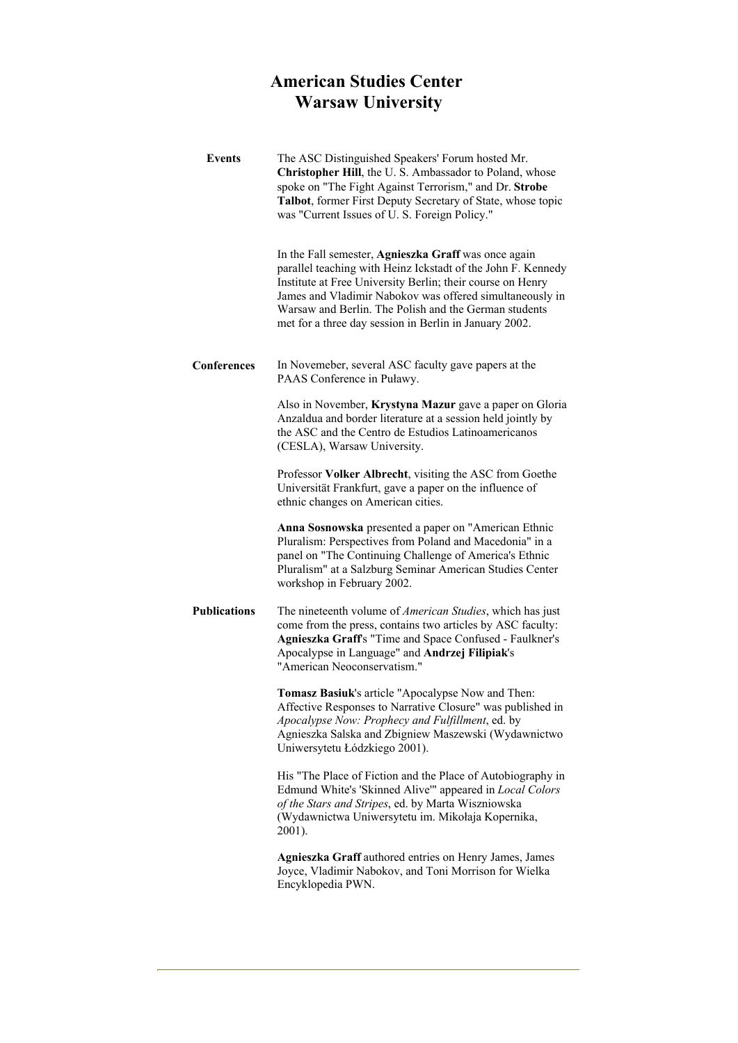# **American Studies Center Warsaw University**

| <b>Events</b>       | The ASC Distinguished Speakers' Forum hosted Mr.<br>Christopher Hill, the U.S. Ambassador to Poland, whose<br>spoke on "The Fight Against Terrorism," and Dr. Strobe<br>Talbot, former First Deputy Secretary of State, whose topic<br>was "Current Issues of U. S. Foreign Policy."                                                                              |
|---------------------|-------------------------------------------------------------------------------------------------------------------------------------------------------------------------------------------------------------------------------------------------------------------------------------------------------------------------------------------------------------------|
|                     | In the Fall semester, Agnieszka Graff was once again<br>parallel teaching with Heinz Ickstadt of the John F. Kennedy<br>Institute at Free University Berlin; their course on Henry<br>James and Vladimir Nabokov was offered simultaneously in<br>Warsaw and Berlin. The Polish and the German students<br>met for a three day session in Berlin in January 2002. |
| Conferences         | In Novemeber, several ASC faculty gave papers at the<br>PAAS Conference in Puławy.                                                                                                                                                                                                                                                                                |
|                     | Also in November, Krystyna Mazur gave a paper on Gloria<br>Anzaldua and border literature at a session held jointly by<br>the ASC and the Centro de Estudios Latinoamericanos<br>(CESLA), Warsaw University.                                                                                                                                                      |
|                     | Professor Volker Albrecht, visiting the ASC from Goethe<br>Universität Frankfurt, gave a paper on the influence of<br>ethnic changes on American cities.                                                                                                                                                                                                          |
|                     | Anna Sosnowska presented a paper on "American Ethnic<br>Pluralism: Perspectives from Poland and Macedonia" in a<br>panel on "The Continuing Challenge of America's Ethnic<br>Pluralism" at a Salzburg Seminar American Studies Center<br>workshop in February 2002.                                                                                               |
| <b>Publications</b> | The nineteenth volume of American Studies, which has just<br>come from the press, contains two articles by ASC faculty:<br>Agnieszka Graff's "Time and Space Confused - Faulkner's<br>Apocalypse in Language" and Andrzej Filipiak's<br>"American Neoconservatism."                                                                                               |
|                     | Tomasz Basiuk's article "Apocalypse Now and Then:<br>Affective Responses to Narrative Closure" was published in<br>Apocalypse Now: Prophecy and Fulfillment, ed. by<br>Agnieszka Salska and Zbigniew Maszewski (Wydawnictwo<br>Uniwersytetu Łódzkiego 2001).                                                                                                      |
|                     | His "The Place of Fiction and the Place of Autobiography in<br>Edmund White's 'Skinned Alive'" appeared in Local Colors<br>of the Stars and Stripes, ed. by Marta Wiszniowska<br>(Wydawnictwa Uniwersytetu im. Mikołaja Kopernika,<br>2001).                                                                                                                      |
|                     | Agnieszka Graff authored entries on Henry James, James<br>Joyce, Vladimir Nabokov, and Toni Morrison for Wielka<br>Encyklopedia PWN.                                                                                                                                                                                                                              |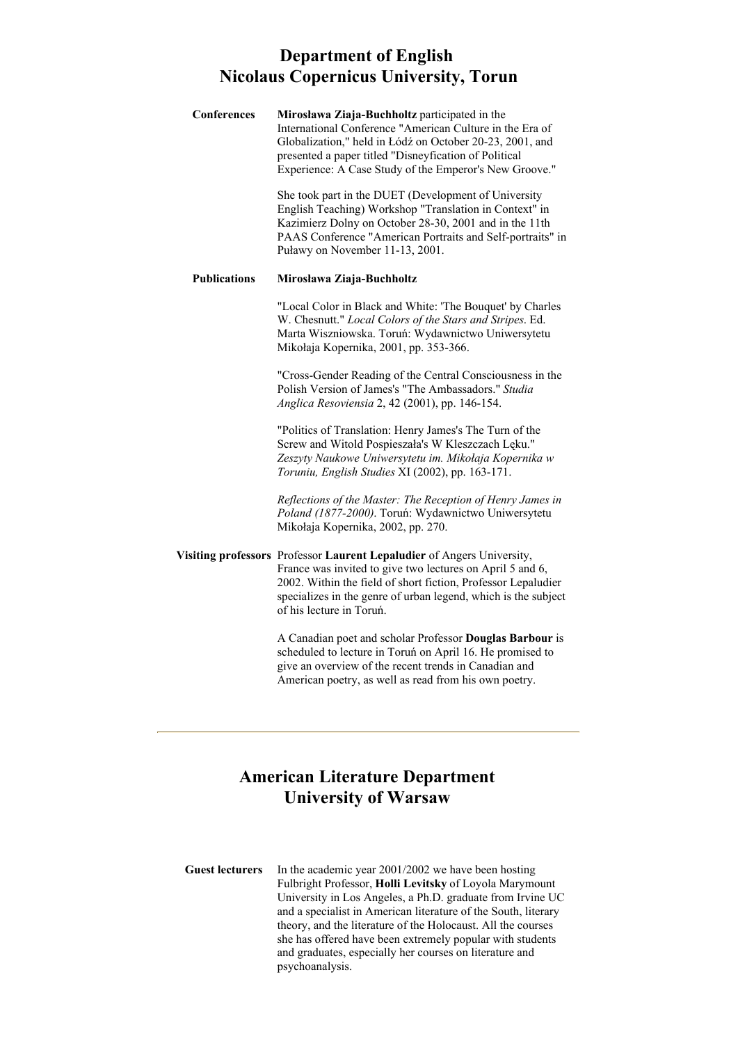# **Department of English Nicolaus Copernicus University, Torun**

| Conferences         | Mirosława Ziaja-Buchholtz participated in the<br>International Conference "American Culture in the Era of<br>Globalization," held in Łódź on October 20-23, 2001, and<br>presented a paper titled "Disneyfication of Political<br>Experience: A Case Study of the Emperor's New Groove."           |
|---------------------|----------------------------------------------------------------------------------------------------------------------------------------------------------------------------------------------------------------------------------------------------------------------------------------------------|
|                     | She took part in the DUET (Development of University<br>English Teaching) Workshop "Translation in Context" in<br>Kazimierz Dolny on October 28-30, 2001 and in the 11th<br>PAAS Conference "American Portraits and Self-portraits" in<br>Puławy on November 11-13, 2001.                          |
| <b>Publications</b> | Mirosława Ziaja-Buchholtz                                                                                                                                                                                                                                                                          |
|                     | "Local Color in Black and White: 'The Bouquet' by Charles<br>W. Chesnutt." Local Colors of the Stars and Stripes. Ed.<br>Marta Wiszniowska. Toruń: Wydawnictwo Uniwersytetu<br>Mikołaja Kopernika, 2001, pp. 353-366.                                                                              |
|                     | "Cross-Gender Reading of the Central Consciousness in the<br>Polish Version of James's "The Ambassadors." Studia<br>Anglica Resoviensia 2, 42 (2001), pp. 146-154.                                                                                                                                 |
|                     | "Politics of Translation: Henry James's The Turn of the<br>Screw and Witold Pospieszała's W Kleszczach Lęku."<br>Zeszyty Naukowe Uniwersytetu im. Mikołaja Kopernika w<br>Toruniu, English Studies XI (2002), pp. 163-171.                                                                         |
|                     | Reflections of the Master: The Reception of Henry James in<br>Poland (1877-2000). Toruń: Wydawnictwo Uniwersytetu<br>Mikołaja Kopernika, 2002, pp. 270.                                                                                                                                            |
|                     | Visiting professors Professor Laurent Lepaludier of Angers University,<br>France was invited to give two lectures on April 5 and 6,<br>2002. Within the field of short fiction, Professor Lepaludier<br>specializes in the genre of urban legend, which is the subject<br>of his lecture in Toruń. |
|                     | A Canadian poet and scholar Professor Douglas Barbour is<br>scheduled to lecture in Toruń on April 16. He promised to<br>give an overview of the recent trends in Canadian and                                                                                                                     |

# **American Literature Department University of Warsaw**

American poetry, as well as read from his own poetry.

**Guest lecturers** In the academic year 2001/2002 we have been hosting Fulbright Professor, **Holli Levitsky** of Loyola Marymount University in Los Angeles, a Ph.D. graduate from Irvine UC and a specialist in American literature of the South, literary theory, and the literature of the Holocaust. All the courses she has offered have been extremely popular with students and graduates, especially her courses on literature and psychoanalysis.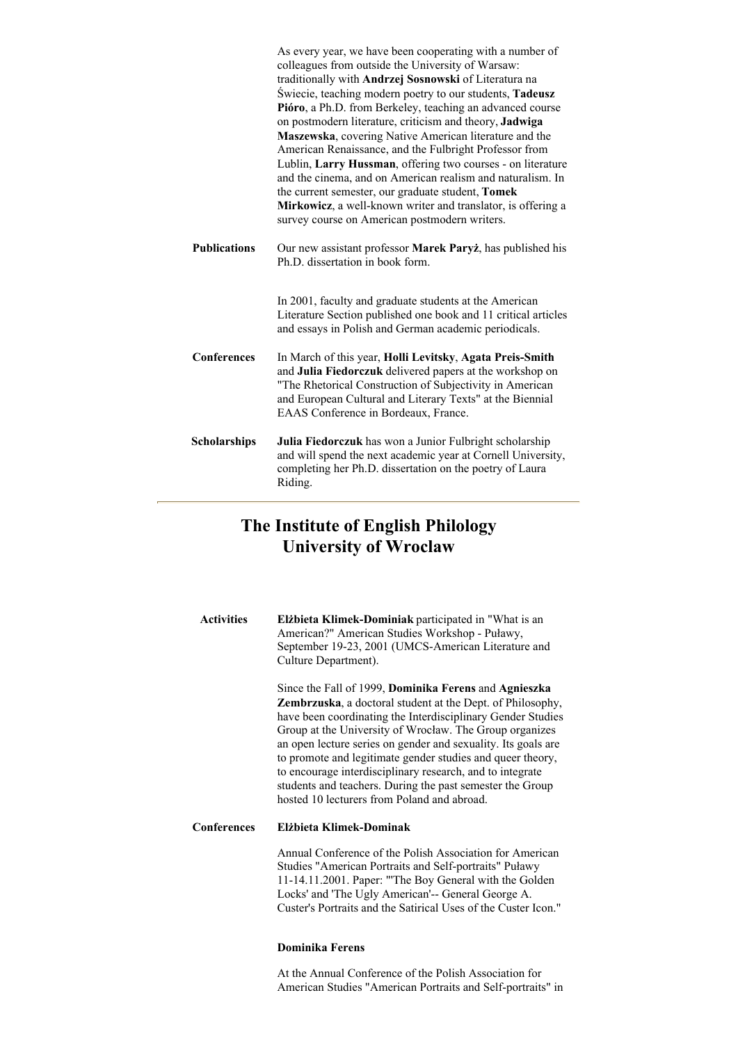|                     | As every year, we have been cooperating with a number of<br>colleagues from outside the University of Warsaw:<br>traditionally with Andrzej Sosnowski of Literatura na<br>Świecie, teaching modern poetry to our students, Tadeusz<br>Pióro, a Ph.D. from Berkeley, teaching an advanced course<br>on postmodern literature, criticism and theory, Jadwiga<br>Maszewska, covering Native American literature and the<br>American Renaissance, and the Fulbright Professor from<br>Lublin, Larry Hussman, offering two courses - on literature<br>and the cinema, and on American realism and naturalism. In<br>the current semester, our graduate student, Tomek<br>Mirkowicz, a well-known writer and translator, is offering a<br>survey course on American postmodern writers. |
|---------------------|-----------------------------------------------------------------------------------------------------------------------------------------------------------------------------------------------------------------------------------------------------------------------------------------------------------------------------------------------------------------------------------------------------------------------------------------------------------------------------------------------------------------------------------------------------------------------------------------------------------------------------------------------------------------------------------------------------------------------------------------------------------------------------------|
| <b>Publications</b> | Our new assistant professor Marek Paryż, has published his<br>Ph.D. dissertation in book form.                                                                                                                                                                                                                                                                                                                                                                                                                                                                                                                                                                                                                                                                                    |
|                     | In 2001, faculty and graduate students at the American<br>Literature Section published one book and 11 critical articles<br>and essays in Polish and German academic periodicals.                                                                                                                                                                                                                                                                                                                                                                                                                                                                                                                                                                                                 |
| <b>Conferences</b>  | In March of this year, Holli Levitsky, Agata Preis-Smith<br>and Julia Fiedorczuk delivered papers at the workshop on<br>"The Rhetorical Construction of Subjectivity in American<br>and European Cultural and Literary Texts" at the Biennial<br>EAAS Conference in Bordeaux, France.                                                                                                                                                                                                                                                                                                                                                                                                                                                                                             |
| <b>Scholarships</b> | Julia Fiedorczuk has won a Junior Fulbright scholarship<br>and will spend the next academic year at Cornell University,<br>completing her Ph.D. dissertation on the poetry of Laura<br>Riding.                                                                                                                                                                                                                                                                                                                                                                                                                                                                                                                                                                                    |

# **The Institute of English Philology University of Wroclaw**

| <b>Activities</b> | Elżbieta Klimek-Dominiak participated in "What is an<br>American?" American Studies Workshop - Puławy,<br>September 19-23, 2001 (UMCS-American Literature and<br>Culture Department).                                                                                                                                                                                                                                                                                                                                                                                       |
|-------------------|-----------------------------------------------------------------------------------------------------------------------------------------------------------------------------------------------------------------------------------------------------------------------------------------------------------------------------------------------------------------------------------------------------------------------------------------------------------------------------------------------------------------------------------------------------------------------------|
|                   | Since the Fall of 1999, <b>Dominika Ferens</b> and <b>Agnieszka</b><br><b>Zembrzuska</b> , a doctoral student at the Dept. of Philosophy,<br>have been coordinating the Interdisciplinary Gender Studies<br>Group at the University of Wrocław. The Group organizes<br>an open lecture series on gender and sexuality. Its goals are<br>to promote and legitimate gender studies and queer theory,<br>to encourage interdisciplinary research, and to integrate<br>students and teachers. During the past semester the Group<br>hosted 10 lecturers from Poland and abroad. |
| Conferences       | Elżbieta Klimek-Dominak                                                                                                                                                                                                                                                                                                                                                                                                                                                                                                                                                     |
|                   | Annual Conference of the Polish Association for American<br>Studies "American Portraits and Self-portraits" Puławy<br>11-14.11.2001. Paper: "The Boy General with the Golden<br>Locks' and 'The Ugly American'-- General George A.<br>Custer's Portraits and the Satirical Uses of the Custer Icon."                                                                                                                                                                                                                                                                        |

### **Dominika Ferens**

At the Annual Conference of the Polish Association for American Studies "American Portraits and Self-portraits" in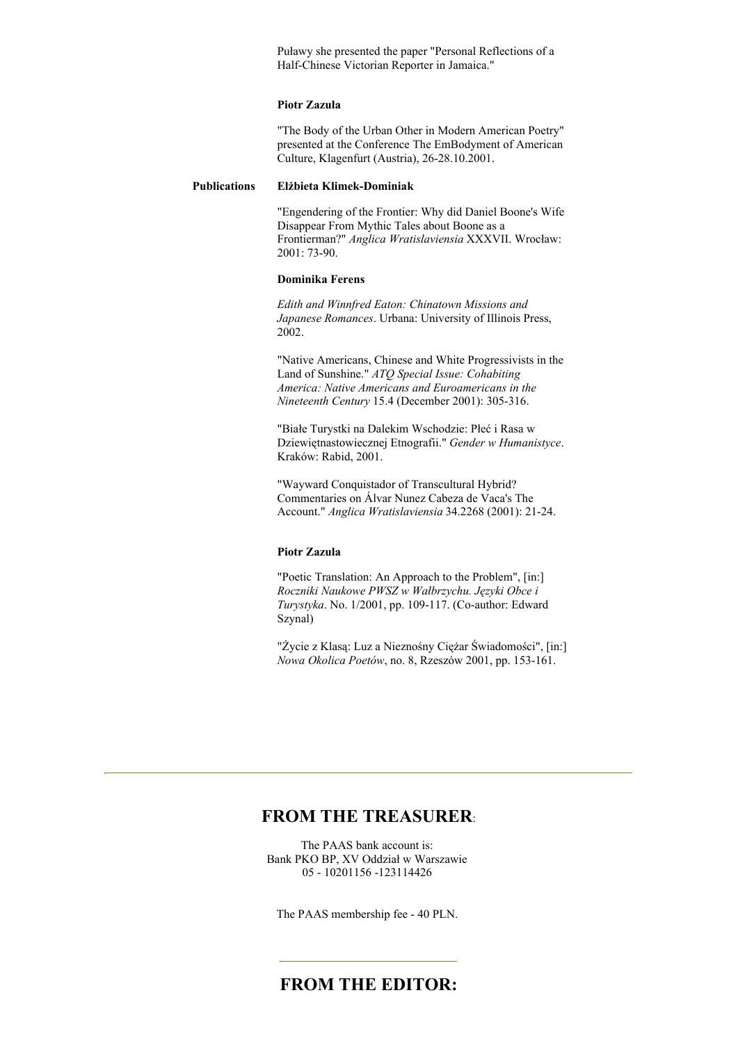Puławy she presented the paper "Personal Reflections of a Half-Chinese Victorian Reporter in Jamaica."

#### **Piotr Zazula**

"The Body of the Urban Other in Modern American Poetry" presented at the Conference The EmBodyment of American Culture, Klagenfurt (Austria), 26-28.10.2001.

#### **Publications Elżbieta Klimek-Dominiak**

"Engendering of the Frontier: Why did Daniel Boone's Wife Disappear From Mythic Tales about Boone as a Frontierman?" *Anglica Wratislaviensia* XXXVII. Wrocław: 2001: 73-90.

### **Dominika Ferens**

*Edith and Winnfred Eaton: Chinatown Missions and Japanese Romances*. Urbana: University of Illinois Press, 2002.

"Native Americans, Chinese and White Progressivists in the Land of Sunshine." *ATQ Special Issue: Cohabiting America: Native Americans and Euroamericans in the Nineteenth Century* 15.4 (December 2001): 305-316.

"Białe Turystki na Dalekim Wschodzie: Płeć i Rasa w Dziewiętnastowiecznej Etnografii." *Gender w Humanistyce*. Kraków: Rabid, 2001.

"Wayward Conquistador of Transcultural Hybrid? Commentaries on Álvar Nunez Cabeza de Vaca's The Account." *Anglica Wratislaviensia* 34.2268 (2001): 21-24.

#### **Piotr Zazula**

"Poetic Translation: An Approach to the Problem", [in:] *Roczniki Naukowe PWSZ w Wałbrzychu. Języki Obce i Turystyka*. No. 1/2001, pp. 109-117. (Co-author: Edward Szynal)

"Życie z Klasą: Luz a Nieznośny Ciężar Świadomości", [in:] *Nowa Okolica Poetów*, no. 8, Rzeszów 2001, pp. 153-161.

### **FROM THE TREASURER**:

The PAAS bank account is: Bank PKO BP, XV Oddział w Warszawie 05 - 10201156 -123114426

The PAAS membership fee - 40 PLN.

### **FROM THE EDITOR:**